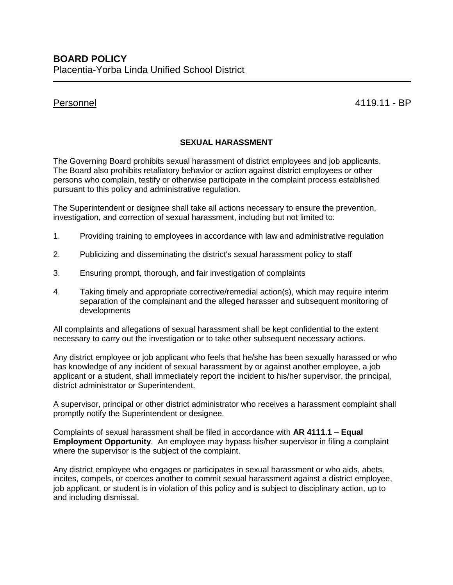Personnel 4119.11 - BP

## **SEXUAL HARASSMENT**

The Governing Board prohibits sexual harassment of district employees and job applicants. The Board also prohibits retaliatory behavior or action against district employees or other persons who complain, testify or otherwise participate in the complaint process established pursuant to this policy and administrative regulation.

The Superintendent or designee shall take all actions necessary to ensure the prevention, investigation, and correction of sexual harassment, including but not limited to:

- 1. Providing training to employees in accordance with law and administrative regulation
- 2. Publicizing and disseminating the district's sexual harassment policy to staff
- 3. Ensuring prompt, thorough, and fair investigation of complaints
- 4. Taking timely and appropriate corrective/remedial action(s), which may require interim separation of the complainant and the alleged harasser and subsequent monitoring of developments

All complaints and allegations of sexual harassment shall be kept confidential to the extent necessary to carry out the investigation or to take other subsequent necessary actions.

Any district employee or job applicant who feels that he/she has been sexually harassed or who has knowledge of any incident of sexual harassment by or against another employee, a job applicant or a student, shall immediately report the incident to his/her supervisor, the principal, district administrator or Superintendent.

A supervisor, principal or other district administrator who receives a harassment complaint shall promptly notify the Superintendent or designee.

Complaints of sexual harassment shall be filed in accordance with **AR 4111.1 – Equal Employment Opportunity**. An employee may bypass his/her supervisor in filing a complaint where the supervisor is the subject of the complaint.

Any district employee who engages or participates in sexual harassment or who aids, abets, incites, compels, or coerces another to commit sexual harassment against a district employee, job applicant, or student is in violation of this policy and is subject to disciplinary action, up to and including dismissal.